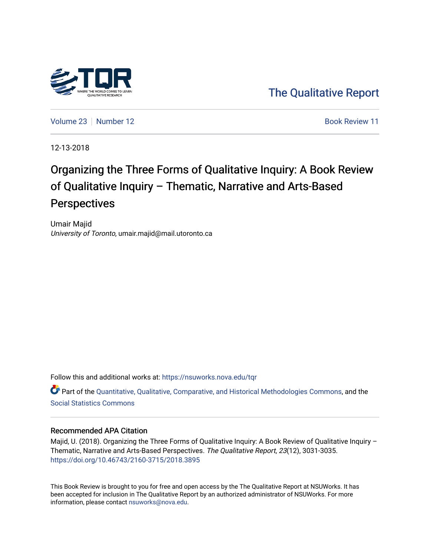

[The Qualitative Report](https://nsuworks.nova.edu/tqr) 

[Volume 23](https://nsuworks.nova.edu/tqr/vol23) [Number 12](https://nsuworks.nova.edu/tqr/vol23/iss12) **Book Review 11** Book Review 11

12-13-2018

## Organizing the Three Forms of Qualitative Inquiry: A Book Review of Qualitative Inquiry – Thematic, Narrative and Arts-Based **Perspectives**

Umair Majid University of Toronto, umair.majid@mail.utoronto.ca

Follow this and additional works at: [https://nsuworks.nova.edu/tqr](https://nsuworks.nova.edu/tqr?utm_source=nsuworks.nova.edu%2Ftqr%2Fvol23%2Fiss12%2F11&utm_medium=PDF&utm_campaign=PDFCoverPages) 

Part of the [Quantitative, Qualitative, Comparative, and Historical Methodologies Commons,](http://network.bepress.com/hgg/discipline/423?utm_source=nsuworks.nova.edu%2Ftqr%2Fvol23%2Fiss12%2F11&utm_medium=PDF&utm_campaign=PDFCoverPages) and the [Social Statistics Commons](http://network.bepress.com/hgg/discipline/1275?utm_source=nsuworks.nova.edu%2Ftqr%2Fvol23%2Fiss12%2F11&utm_medium=PDF&utm_campaign=PDFCoverPages) 

#### Recommended APA Citation

Majid, U. (2018). Organizing the Three Forms of Qualitative Inquiry: A Book Review of Qualitative Inquiry -Thematic, Narrative and Arts-Based Perspectives. The Qualitative Report, 23(12), 3031-3035. <https://doi.org/10.46743/2160-3715/2018.3895>

This Book Review is brought to you for free and open access by the The Qualitative Report at NSUWorks. It has been accepted for inclusion in The Qualitative Report by an authorized administrator of NSUWorks. For more information, please contact [nsuworks@nova.edu.](mailto:nsuworks@nova.edu)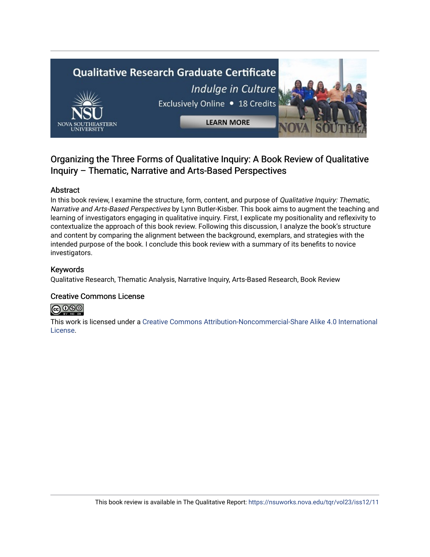# **Qualitative Research Graduate Certificate** Indulge in Culture Exclusively Online . 18 Credits **LEARN MORE**

### Organizing the Three Forms of Qualitative Inquiry: A Book Review of Qualitative Inquiry – Thematic, Narrative and Arts-Based Perspectives

#### Abstract

In this book review, I examine the structure, form, content, and purpose of *Qualitative Inquiry: Thematic,* Narrative and Arts-Based Perspectives by Lynn Butler-Kisber. This book aims to augment the teaching and learning of investigators engaging in qualitative inquiry. First, I explicate my positionality and reflexivity to contextualize the approach of this book review. Following this discussion, I analyze the book's structure and content by comparing the alignment between the background, exemplars, and strategies with the intended purpose of the book. I conclude this book review with a summary of its benefits to novice investigators.

#### Keywords

Qualitative Research, Thematic Analysis, Narrative Inquiry, Arts-Based Research, Book Review

#### Creative Commons License



This work is licensed under a [Creative Commons Attribution-Noncommercial-Share Alike 4.0 International](https://creativecommons.org/licenses/by-nc-sa/4.0/)  [License](https://creativecommons.org/licenses/by-nc-sa/4.0/).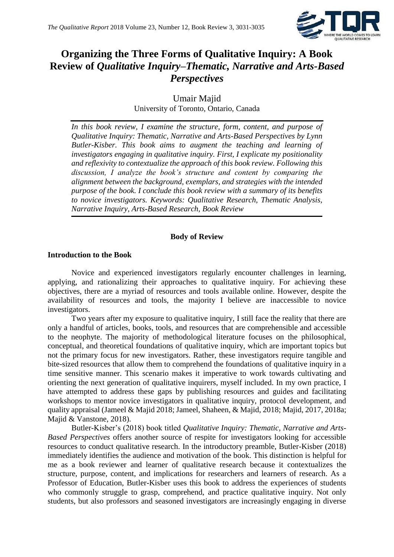

## **Organizing the Three Forms of Qualitative Inquiry: A Book Review of** *Qualitative Inquiry–Thematic, Narrative and Arts-Based Perspectives*

Umair Majid University of Toronto, Ontario, Canada

*In this book review, I examine the structure, form, content, and purpose of Qualitative Inquiry: Thematic, Narrative and Arts-Based Perspectives by Lynn Butler-Kisber. This book aims to augment the teaching and learning of investigators engaging in qualitative inquiry. First, I explicate my positionality and reflexivity to contextualize the approach of this book review. Following this discussion, I analyze the book's structure and content by comparing the alignment between the background, exemplars, and strategies with the intended purpose of the book. I conclude this book review with a summary of its benefits to novice investigators. Keywords: Qualitative Research, Thematic Analysis, Narrative Inquiry, Arts-Based Research, Book Review*

#### **Body of Review**

#### **Introduction to the Book**

Novice and experienced investigators regularly encounter challenges in learning, applying, and rationalizing their approaches to qualitative inquiry. For achieving these objectives, there are a myriad of resources and tools available online. However, despite the availability of resources and tools, the majority I believe are inaccessible to novice investigators.

Two years after my exposure to qualitative inquiry, I still face the reality that there are only a handful of articles, books, tools, and resources that are comprehensible and accessible to the neophyte. The majority of methodological literature focuses on the philosophical, conceptual, and theoretical foundations of qualitative inquiry, which are important topics but not the primary focus for new investigators. Rather, these investigators require tangible and bite-sized resources that allow them to comprehend the foundations of qualitative inquiry in a time sensitive manner. This scenario makes it imperative to work towards cultivating and orienting the next generation of qualitative inquirers, myself included. In my own practice, I have attempted to address these gaps by publishing resources and guides and facilitating workshops to mentor novice investigators in qualitative inquiry, protocol development, and quality appraisal (Jameel & Majid 2018; Jameel, Shaheen, & Majid, 2018; Majid, 2017, 2018a; Majid & Vanstone, 2018).

Butler-Kisber's (2018) book titled *Qualitative Inquiry: Thematic, Narrative and Arts-Based Perspectives* offers another source of respite for investigators looking for accessible resources to conduct qualitative research. In the introductory preamble, Butler-Kisber (2018) immediately identifies the audience and motivation of the book. This distinction is helpful for me as a book reviewer and learner of qualitative research because it contextualizes the structure, purpose, content, and implications for researchers and learners of research. As a Professor of Education, Butler-Kisber uses this book to address the experiences of students who commonly struggle to grasp, comprehend, and practice qualitative inquiry. Not only students, but also professors and seasoned investigators are increasingly engaging in diverse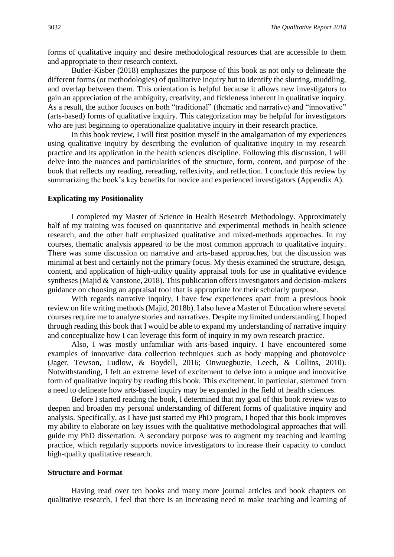forms of qualitative inquiry and desire methodological resources that are accessible to them and appropriate to their research context.

Butler-Kisber (2018) emphasizes the purpose of this book as not only to delineate the different forms (or methodologies) of qualitative inquiry but to identify the slurring, muddling, and overlap between them. This orientation is helpful because it allows new investigators to gain an appreciation of the ambiguity, creativity, and fickleness inherent in qualitative inquiry. As a result, the author focuses on both "traditional" (thematic and narrative) and "innovative" (arts-based) forms of qualitative inquiry. This categorization may be helpful for investigators who are just beginning to operationalize qualitative inquiry in their research practice.

In this book review, I will first position myself in the amalgamation of my experiences using qualitative inquiry by describing the evolution of qualitative inquiry in my research practice and its application in the health sciences discipline. Following this discussion, I will delve into the nuances and particularities of the structure, form, content, and purpose of the book that reflects my reading, rereading, reflexivity, and reflection. I conclude this review by summarizing the book's key benefits for novice and experienced investigators (Appendix A).

#### **Explicating my Positionality**

I completed my Master of Science in Health Research Methodology. Approximately half of my training was focused on quantitative and experimental methods in health science research, and the other half emphasized qualitative and mixed-methods approaches. In my courses, thematic analysis appeared to be the most common approach to qualitative inquiry. There was some discussion on narrative and arts-based approaches, but the discussion was minimal at best and certainly not the primary focus. My thesis examined the structure, design, content, and application of high-utility quality appraisal tools for use in qualitative evidence syntheses (Majid & Vanstone, 2018). This publication offers investigators and decision-makers guidance on choosing an appraisal tool that is appropriate for their scholarly purpose.

With regards narrative inquiry, I have few experiences apart from a previous book review on life writing methods (Majid, 2018b). I also have a Master of Education where several courses require me to analyze stories and narratives. Despite my limited understanding, I hoped through reading this book that I would be able to expand my understanding of narrative inquiry and conceptualize how I can leverage this form of inquiry in my own research practice.

Also, I was mostly unfamiliar with arts-based inquiry. I have encountered some examples of innovative data collection techniques such as body mapping and photovoice (Jager, Tewson, Ludlow, & Boydell, 2016; Onwuegbuzie, Leech, & Collins, 2010). Notwithstanding, I felt an extreme level of excitement to delve into a unique and innovative form of qualitative inquiry by reading this book. This excitement, in particular, stemmed from a need to delineate how arts-based inquiry may be expanded in the field of health sciences.

Before I started reading the book, I determined that my goal of this book review was to deepen and broaden my personal understanding of different forms of qualitative inquiry and analysis. Specifically, as I have just started my PhD program, I hoped that this book improves my ability to elaborate on key issues with the qualitative methodological approaches that will guide my PhD dissertation. A secondary purpose was to augment my teaching and learning practice, which regularly supports novice investigators to increase their capacity to conduct high-quality qualitative research.

#### **Structure and Format**

Having read over ten books and many more journal articles and book chapters on qualitative research, I feel that there is an increasing need to make teaching and learning of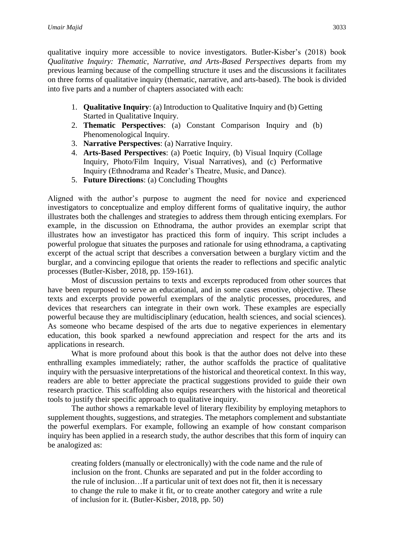qualitative inquiry more accessible to novice investigators. Butler-Kisber's (2018) book *Qualitative Inquiry: Thematic, Narrative, and Arts-Based Perspectives* departs from my previous learning because of the compelling structure it uses and the discussions it facilitates on three forms of qualitative inquiry (thematic, narrative, and arts-based). The book is divided into five parts and a number of chapters associated with each:

- 1. **Qualitative Inquiry**: (a) Introduction to Qualitative Inquiry and (b) Getting Started in Qualitative Inquiry.
- 2. **Thematic Perspectives**: (a) Constant Comparison Inquiry and (b) Phenomenological Inquiry.
- 3. **Narrative Perspectives**: (a) Narrative Inquiry.
- 4. **Arts-Based Perspectives**: (a) Poetic Inquiry, (b) Visual Inquiry (Collage Inquiry, Photo/Film Inquiry, Visual Narratives), and (c) Performative Inquiry (Ethnodrama and Reader's Theatre, Music, and Dance).
- 5. **Future Directions**: (a) Concluding Thoughts

Aligned with the author's purpose to augment the need for novice and experienced investigators to conceptualize and employ different forms of qualitative inquiry, the author illustrates both the challenges and strategies to address them through enticing exemplars. For example, in the discussion on Ethnodrama, the author provides an exemplar script that illustrates how an investigator has practiced this form of inquiry. This script includes a powerful prologue that situates the purposes and rationale for using ethnodrama, a captivating excerpt of the actual script that describes a conversation between a burglary victim and the burglar, and a convincing epilogue that orients the reader to reflections and specific analytic processes (Butler-Kisber, 2018, pp. 159-161).

Most of discussion pertains to texts and excerpts reproduced from other sources that have been repurposed to serve an educational, and in some cases emotive, objective. These texts and excerpts provide powerful exemplars of the analytic processes, procedures, and devices that researchers can integrate in their own work. These examples are especially powerful because they are multidisciplinary (education, health sciences, and social sciences). As someone who became despised of the arts due to negative experiences in elementary education, this book sparked a newfound appreciation and respect for the arts and its applications in research.

What is more profound about this book is that the author does not delve into these enthralling examples immediately; rather, the author scaffolds the practice of qualitative inquiry with the persuasive interpretations of the historical and theoretical context. In this way, readers are able to better appreciate the practical suggestions provided to guide their own research practice. This scaffolding also equips researchers with the historical and theoretical tools to justify their specific approach to qualitative inquiry.

The author shows a remarkable level of literary flexibility by employing metaphors to supplement thoughts, suggestions, and strategies. The metaphors complement and substantiate the powerful exemplars. For example, following an example of how constant comparison inquiry has been applied in a research study, the author describes that this form of inquiry can be analogized as:

creating folders (manually or electronically) with the code name and the rule of inclusion on the front. Chunks are separated and put in the folder according to the rule of inclusion…If a particular unit of text does not fit, then it is necessary to change the rule to make it fit, or to create another category and write a rule of inclusion for it. (Butler-Kisber, 2018, pp. 50)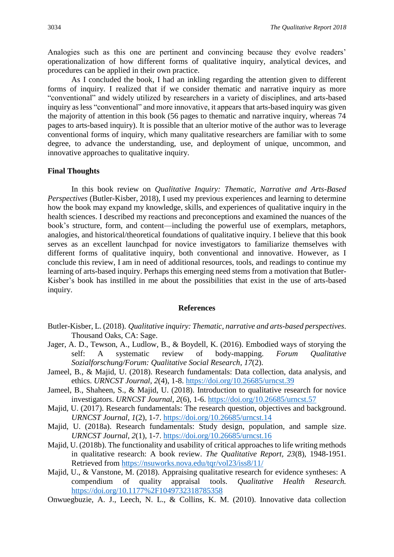Analogies such as this one are pertinent and convincing because they evolve readers' operationalization of how different forms of qualitative inquiry, analytical devices, and procedures can be applied in their own practice.

As I concluded the book, I had an inkling regarding the attention given to different forms of inquiry. I realized that if we consider thematic and narrative inquiry as more "conventional" and widely utilized by researchers in a variety of disciplines, and arts-based inquiry as less "conventional" and more innovative, it appears that arts-based inquiry was given the majority of attention in this book (56 pages to thematic and narrative inquiry, whereas 74 pages to arts-based inquiry). It is possible that an ulterior motive of the author was to leverage conventional forms of inquiry, which many qualitative researchers are familiar with to some degree, to advance the understanding, use, and deployment of unique, uncommon, and innovative approaches to qualitative inquiry.

#### **Final Thoughts**

In this book review on *Qualitative Inquiry: Thematic, Narrative and Arts-Based Perspectives* (Butler-Kisber, 2018), I used my previous experiences and learning to determine how the book may expand my knowledge, skills, and experiences of qualitative inquiry in the health sciences. I described my reactions and preconceptions and examined the nuances of the book's structure, form, and content—including the powerful use of exemplars, metaphors, analogies, and historical/theoretical foundations of qualitative inquiry. I believe that this book serves as an excellent launchpad for novice investigators to familiarize themselves with different forms of qualitative inquiry, both conventional and innovative. However, as I conclude this review, I am in need of additional resources, tools, and readings to continue my learning of arts-based inquiry. Perhaps this emerging need stems from a motivation that Butler-Kisber's book has instilled in me about the possibilities that exist in the use of arts-based inquiry.

#### **References**

- Butler-Kisber, L. (2018). *Qualitative inquiry: Thematic, narrative and arts-based perspectives*. Thousand Oaks, CA: Sage.
- Jager, A. D., Tewson, A., Ludlow, B., & Boydell, K. (2016). Embodied ways of storying the self: A systematic review of body-mapping. *Forum Qualitative Sozialforschung/Forum: Qualitative Social Research, 17*(2).
- Jameel, B., & Majid, U. (2018). Research fundamentals: Data collection, data analysis, and ethics. *URNCST Journal, 2*(4), 1-8. <https://doi.org/10.26685/urncst.39>
- Jameel, B., Shaheen, S., & Majid, U. (2018). Introduction to qualitative research for novice investigators. *URNCST Journal, 2*(6), 1-6. <https://doi.org/10.26685/urncst.57>
- Majid, U. (2017). Research fundamentals: The research question, objectives and background. *URNCST Journal, 1*(2), 1-7.<https://doi.org/10.26685/urncst.14>
- Majid, U. (2018a). Research fundamentals: Study design, population, and sample size. *URNCST Journal, 2*(1), 1-7. <https://doi.org/10.26685/urncst.16>
- Majid, U. (2018b). The functionality and usability of critical approaches to life writing methods in qualitative research: A book review. *The Qualitative Report, 23*(8), 1948-1951. Retrieved from<https://nsuworks.nova.edu/tqr/vol23/iss8/11/>
- Majid, U., & Vanstone, M. (2018). Appraising qualitative research for evidence syntheses: A compendium of quality appraisal tools. *Qualitative Health Research.* <https://doi.org/10.1177%2F1049732318785358>
- Onwuegbuzie, A. J., Leech, N. L., & Collins, K. M. (2010). Innovative data collection